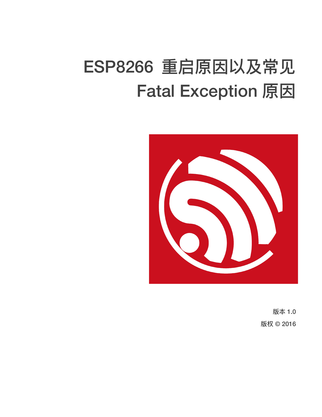# ESP8266 重启原因以及常见 **Fatal Exception 原因**



版本 1.0 版权 © 2016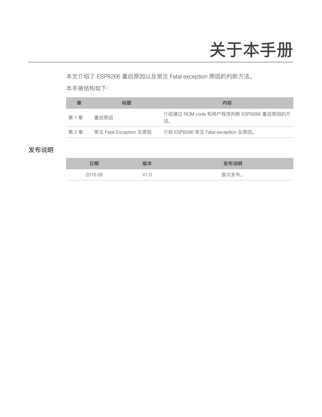## 关于本手册

本文介绍了 ESP8266 重启原因以及常见 Fatal exception 原因的判断方法。

本手册结构如下:

| 童     | '示题                    | 内容                                         |
|-------|------------------------|--------------------------------------------|
| 第1章   | 重启原因                   | 介绍通过 ROM code 和用户程序判断 ESP8266 重启原因的方<br>法。 |
| 第 2 章 | 常见 Fatal Exception 及原因 | 介绍 ESP8266 常见 Fatal exception 及原因。         |

#### 发布说明

| 日期      | 版本               | 发布说明                            |
|---------|------------------|---------------------------------|
| 2016.08 | $\sqrt{1}$<br>.U | 首次发布<br>$\cdot$ $\cdot$ $\circ$ |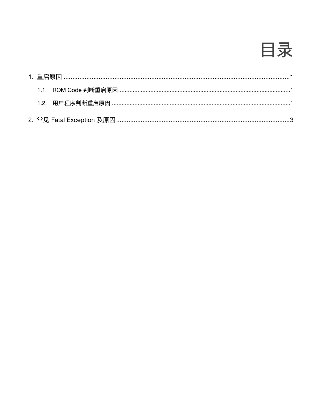

|  | 1.1. ROM Code 判断重启原因……………………………………………………………………………………………1 |  |
|--|----------------------------------------------------------|--|
|  |                                                          |  |
|  |                                                          |  |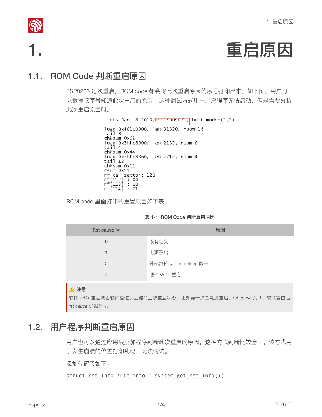

1. 
$$
\qquad \qquad \text{HERB}
$$

### 1.1. ROM Code 判断重启原因

ESP8266 每次重启, ROM code 都会将此次重启原因的序号打印出来, 如下图。用户可 以根据该序号知道此次重启的原因。这种调试方式用于用户程序无法启动,但是需要分析 此次重启原因时。

```
ets Jan 8 2013, rst cause: 1, boot mode: (3,2)
load 0x40100000, len 31320, room 16<br>tail 8
chksum 0x69
load 0x3ffe8000, len 2132, room 0<br>tail 4
chksum 0x44
chksum 0x44<br>load 0x3ffe8860, len 7712, room 4<br>tạil 12
chksum 0x11
csum 0x11
rf cal sector: 120<br>rf[112] : 00<br>rf[113] : 00<br>rf[113] : 00<br>rf[114] : 01
```
ROM code 里面打印的重置原因如下表。

|  |  |  |  | 表 1-1. ROM Code 判断重启原因 |  |
|--|--|--|--|------------------------|--|
|--|--|--|--|------------------------|--|

| Rst cause 号 | 原因                  |
|-------------|---------------------|
| $\Omega$    | 没有定义                |
|             | 电源重启                |
| 2           | 外部复位或 Deep-sleep 醒来 |
| 4           | 硬件 WDT 重启           |

#### **▲ 注意**:

软件 WDT 重启或者软件复位都会维持上次重启状态。比如第一次是电源重启,rst cause 为 1, 软件复位后 rst cause 仍然为 1。

#### 1.2. 用户程序判断重启原因

用户也可以通过应用层添加程序判断此次重启的原因。这种方式判断比较全面。该方式用 于发生崩溃的位置打印乱码,无法调试。

添加代码段如下:

struct rst\_info \*rtc\_info = system\_get\_rst\_info();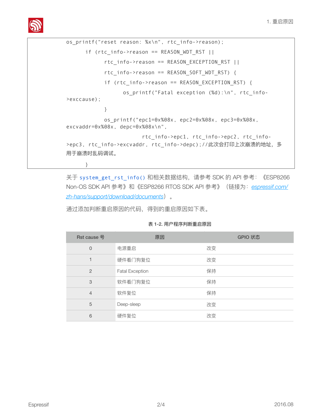

```
os_printf("reset reason: %x\n", rtc_info->reason); 
      if (rtc info->reason == REASON WDT RST ||
            rtc_info->reason == REASON EXCEPTION RST ||
            rtc_info->reason == REASON_SOFT_WDT_RST) {
            if (rtc_info->reason == REASON_EXCEPTION_RST) { 
                 os printf("Fatal exception (%d):\n", rtc_info-
>exccause); 
 } 
            os_printf("epc1=0x%08x, epc2=0x%08x, epc3=0x%08x, 
excvaddr=0x%08x, depc=0x%08x\n", 
                        rtc_info->epc1, rtc_info->epc2, rtc_info-
>epc3, rtc_info->excvaddr, rtc_info->depc);//此次会打印上次崩溃的地址, 多
用于崩溃时乱码调试。
       }
```
关于 system\_get\_rst\_info() 和相关数据结构, 请参考 SDK 的 API 参考: 《ESP8266 Non-OS SDK API 参考》和《ESP8266 RTOS SDK API 参考》(链接为: espressif.com/ [zh-hans/support/download/documents](http://espressif.com/zh-hans/support/download/documents)) 。

通过添加判断重启原因的代码,得到的重启原因如下表。

| Rst cause 号    | 原因                     | GPIO 状态 |
|----------------|------------------------|---------|
| $\Omega$       | 电源重启                   | 改变      |
|                | 硬件看门狗复位                | 改变      |
| 2              | <b>Fatal Exception</b> | 保持      |
| 3              | 软件看门狗复位                | 保持      |
| $\overline{4}$ | 软件复位                   | 保持      |
| 5              | Deep-sleep             | 改变      |
| 6              | 硬件复位                   | 改变      |

表 1-2. 用户程序判断重启原因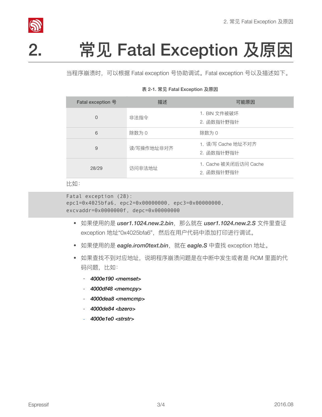

# 2. 常见 Fatal Exception 及原因

当程序崩溃时,可以根据 Fatal exception 号协助调试。Fatal exception 号以及描述如下。

#### 表 2-1. 常见 Fatal Exception 及原因

| Fatal exception 묵 | 描述         | 可能原因                                |
|-------------------|------------|-------------------------------------|
| $\Omega$          | 非法指令       | 1. BIN 文件被破坏<br>2. 函数指针野指针          |
| 6                 | 除数为 0      | 除数为 0                               |
| 9                 | 读/写操作地址非对齐 | 1. 读/写 Cache 地址不对齐<br>2. 函数指针野指针    |
| 28/29             | 访问非法地址     | 1. Cache 被关闭后访问 Cache<br>2. 函数指针野指针 |

比如:

```
Fatal exception (28):
epc1=0x4025bfa6, epc2=0x00000000, epc3=0x00000000, 
excvaddr=0x0000000f, depc=0x00000000
```
- ইຎֵአጱฎ *user1.1024.new.2.bin*҅ᮎԍ੪ࣁ *user1.1024.new.2.S* կ᯾ັᦤ exception 地址"0x4025bfa6", 然后在用户代码中添加打印进行调试。
- 如果使用的是 *eagle.irom0text.bin*, 就在 *eagle.S* 中查找 exception 地址。
- 如果查找不到对应地址, 说明程序崩溃问题是在中断中发生或者是 ROM 里面的代 码问题,比如:
	- *4000e190 <memset>*
	- *4000df48 <memcpy>*
	- *4000dea8 <memcmp>*
	- *4000de84 <bzero>*
	- *4000e1e0 <strstr>*